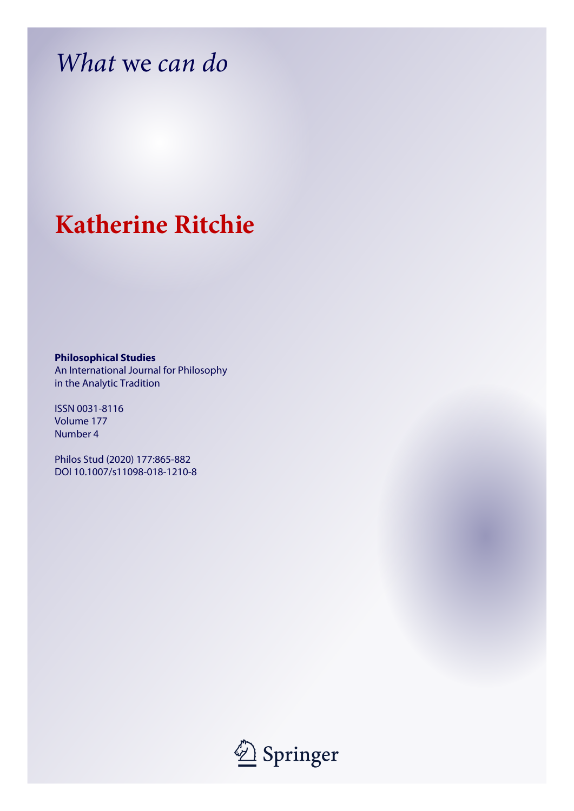# *What* we *can do*

# **Katherine Ritchie**

**Philosophical Studies** An International Journal for Philosophy

ISSN 0031-8116 Volume 177 Number 4

in the Analytic Tradition

Philos Stud (2020) 177:865-882 DOI 10.1007/s11098-018-1210-8

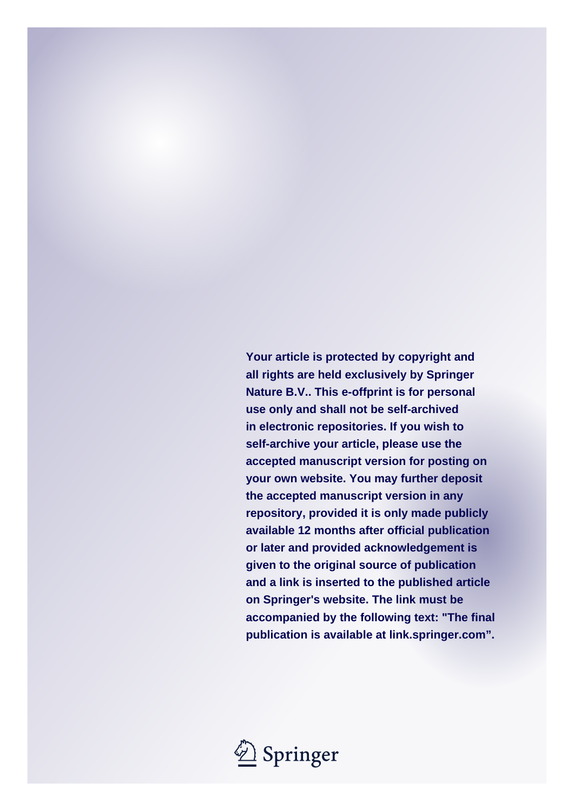**Your article is protected by copyright and all rights are held exclusively by Springer Nature B.V.. This e-offprint is for personal use only and shall not be self-archived in electronic repositories. If you wish to self-archive your article, please use the accepted manuscript version for posting on your own website. You may further deposit the accepted manuscript version in any repository, provided it is only made publicly available 12 months after official publication or later and provided acknowledgement is given to the original source of publication and a link is inserted to the published article on Springer's website. The link must be accompanied by the following text: "The final publication is available at link.springer.com".**

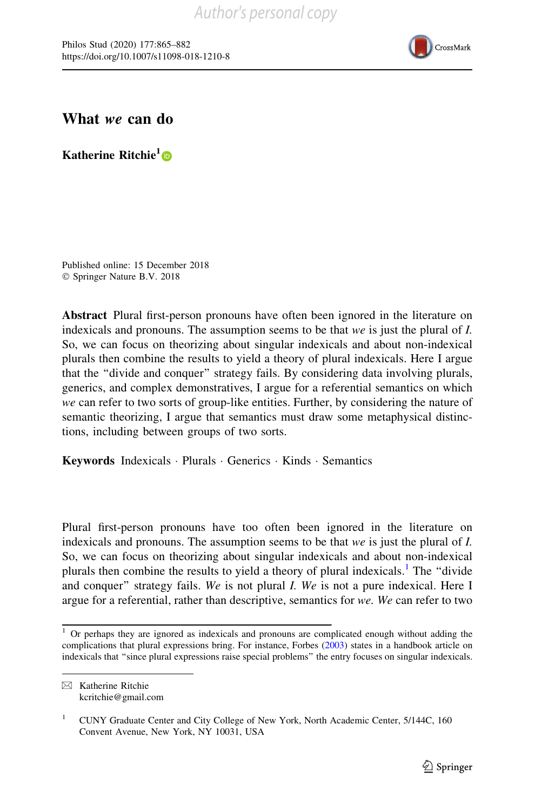

# What we can do

Katherine Ritchie<sup>1</sup>

Published online: 15 December 2018 © Springer Nature B.V. 2018

Abstract Plural first-person pronouns have often been ignored in the literature on indexicals and pronouns. The assumption seems to be that we is just the plural of I. So, we can focus on theorizing about singular indexicals and about non-indexical plurals then combine the results to yield a theory of plural indexicals. Here I argue that the ''divide and conquer'' strategy fails. By considering data involving plurals, generics, and complex demonstratives, I argue for a referential semantics on which we can refer to two sorts of group-like entities. Further, by considering the nature of semantic theorizing, I argue that semantics must draw some metaphysical distinctions, including between groups of two sorts.

Keywords Indexicals - Plurals - Generics - Kinds - Semantics

Plural first-person pronouns have too often been ignored in the literature on indexicals and pronouns. The assumption seems to be that we is just the plural of I. So, we can focus on theorizing about singular indexicals and about non-indexical plurals then combine the results to yield a theory of plural indexicals.<sup>1</sup> The "divide" and conquer" strategy fails. We is not plural I. We is not a pure indexical. Here I argue for a referential, rather than descriptive, semantics for we. We can refer to two

<sup>&</sup>lt;sup>1</sup> Or perhaps they are ignored as indexicals and pronouns are complicated enough without adding the complications that plural expressions bring. For instance, Forbes [\(2003\)](#page-17-0) states in a handbook article on indexicals that ''since plural expressions raise special problems'' the entry focuses on singular indexicals.

 $\boxtimes$  Katherine Ritchie kcritchie@gmail.com

<sup>1</sup> CUNY Graduate Center and City College of New York, North Academic Center, 5/144C, 160 Convent Avenue, New York, NY 10031, USA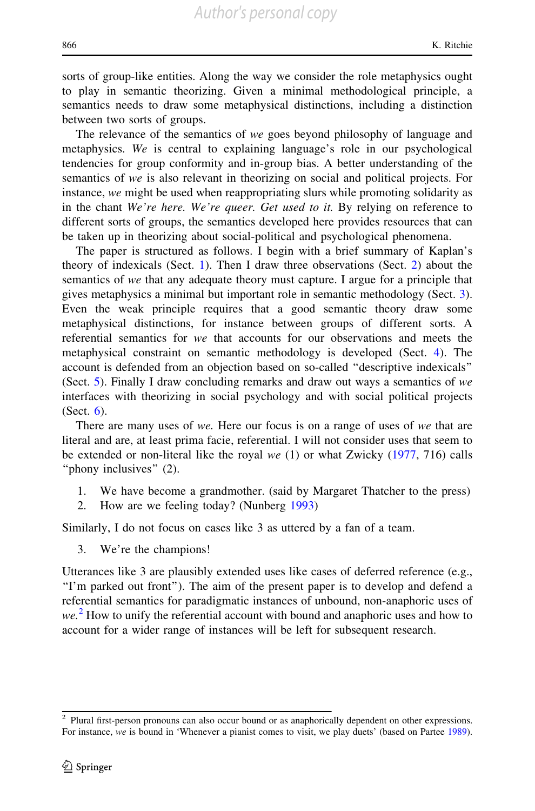sorts of group-like entities. Along the way we consider the role metaphysics ought to play in semantic theorizing. Given a minimal methodological principle, a semantics needs to draw some metaphysical distinctions, including a distinction between two sorts of groups.

The relevance of the semantics of we goes beyond philosophy of language and metaphysics. We is central to explaining language's role in our psychological tendencies for group conformity and in-group bias. A better understanding of the semantics of we is also relevant in theorizing on social and political projects. For instance, we might be used when reappropriating slurs while promoting solidarity as in the chant We're here. We're queer. Get used to it. By relying on reference to different sorts of groups, the semantics developed here provides resources that can be taken up in theorizing about social-political and psychological phenomena.

The paper is structured as follows. I begin with a brief summary of Kaplan's theory of indexicals (Sect. [1\)](#page-4-0). Then I draw three observations (Sect. [2](#page-5-0)) about the semantics of we that any adequate theory must capture. I argue for a principle that gives metaphysics a minimal but important role in semantic methodology (Sect. [3\)](#page-7-0). Even the weak principle requires that a good semantic theory draw some metaphysical distinctions, for instance between groups of different sorts. A referential semantics for we that accounts for our observations and meets the metaphysical constraint on semantic methodology is developed (Sect. [4](#page-9-0)). The account is defended from an objection based on so-called ''descriptive indexicals'' (Sect. [5](#page-14-0)). Finally I draw concluding remarks and draw out ways a semantics of we interfaces with theorizing in social psychology and with social political projects (Sect. [6](#page-16-0)).

There are many uses of we. Here our focus is on a range of uses of we that are literal and are, at least prima facie, referential. I will not consider uses that seem to be extended or non-literal like the royal we  $(1)$  or what Zwicky  $(1977, 716)$  $(1977, 716)$  calls "phony inclusives" (2).

- 1. We have become a grandmother. (said by Margaret Thatcher to the press)
- 2. How are we feeling today? (Nunberg [1993](#page-18-0))

Similarly, I do not focus on cases like 3 as uttered by a fan of a team.

3. We're the champions!

Utterances like 3 are plausibly extended uses like cases of deferred reference (e.g., ''I'm parked out front''). The aim of the present paper is to develop and defend a referential semantics for paradigmatic instances of unbound, non-anaphoric uses of  $we<sup>2</sup>$  How to unify the referential account with bound and anaphoric uses and how to account for a wider range of instances will be left for subsequent research.

<sup>2</sup> Plural first-person pronouns can also occur bound or as anaphorically dependent on other expressions. For instance, we is bound in 'Whenever a pianist comes to visit, we play duets' (based on Partee [1989\)](#page-18-0).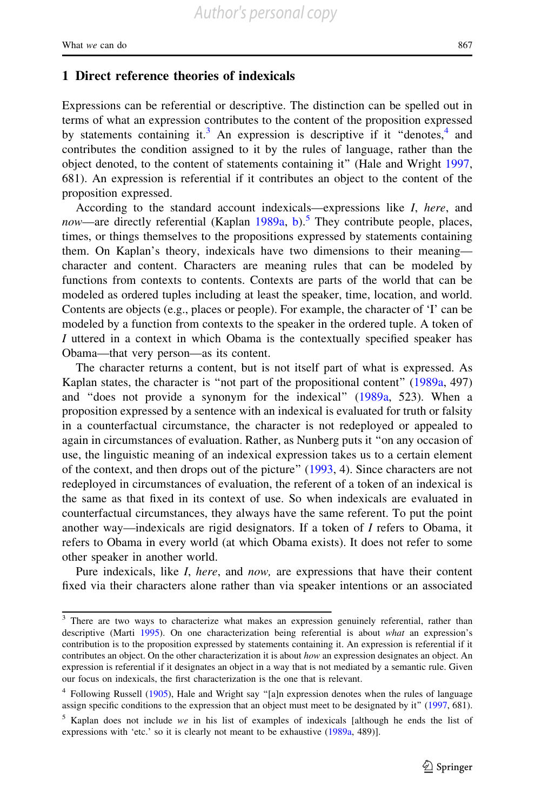# <span id="page-4-0"></span>1 Direct reference theories of indexicals

Expressions can be referential or descriptive. The distinction can be spelled out in terms of what an expression contributes to the content of the proposition expressed by statements containing it.<sup>3</sup> An expression is descriptive if it "denotes, $4$  and contributes the condition assigned to it by the rules of language, rather than the object denoted, to the content of statements containing it'' (Hale and Wright [1997,](#page-18-0) 681). An expression is referential if it contributes an object to the content of the proposition expressed.

According to the standard account indexicals—expressions like I, here, and *now*—are directly referential (Kaplan [1989a,](#page-18-0) [b](#page-18-0)).<sup>5</sup> They contribute people, places, times, or things themselves to the propositions expressed by statements containing them. On Kaplan's theory, indexicals have two dimensions to their meaning character and content. Characters are meaning rules that can be modeled by functions from contexts to contents. Contexts are parts of the world that can be modeled as ordered tuples including at least the speaker, time, location, and world. Contents are objects (e.g., places or people). For example, the character of 'I' can be modeled by a function from contexts to the speaker in the ordered tuple. A token of I uttered in a context in which Obama is the contextually specified speaker has Obama—that very person—as its content.

The character returns a content, but is not itself part of what is expressed. As Kaplan states, the character is ''not part of the propositional content'' [\(1989a](#page-18-0), 497) and ''does not provide a synonym for the indexical'' ([1989a](#page-18-0), 523). When a proposition expressed by a sentence with an indexical is evaluated for truth or falsity in a counterfactual circumstance, the character is not redeployed or appealed to again in circumstances of evaluation. Rather, as Nunberg puts it ''on any occasion of use, the linguistic meaning of an indexical expression takes us to a certain element of the context, and then drops out of the picture'' ([1993,](#page-18-0) 4). Since characters are not redeployed in circumstances of evaluation, the referent of a token of an indexical is the same as that fixed in its context of use. So when indexicals are evaluated in counterfactual circumstances, they always have the same referent. To put the point another way—indexicals are rigid designators. If a token of I refers to Obama, it refers to Obama in every world (at which Obama exists). It does not refer to some other speaker in another world.

Pure indexicals, like I, here, and now, are expressions that have their content fixed via their characters alone rather than via speaker intentions or an associated

<sup>&</sup>lt;sup>3</sup> There are two ways to characterize what makes an expression genuinely referential, rather than descriptive (Marti [1995](#page-18-0)). On one characterization being referential is about what an expression's contribution is to the proposition expressed by statements containing it. An expression is referential if it contributes an object. On the other characterization it is about *how* an expression designates an object. An expression is referential if it designates an object in a way that is not mediated by a semantic rule. Given our focus on indexicals, the first characterization is the one that is relevant.

<sup>&</sup>lt;sup>4</sup> Following Russell [\(1905](#page-19-0)), Hale and Wright say "[a]n expression denotes when the rules of language assign specific conditions to the expression that an object must meet to be designated by it" ([1997,](#page-18-0) 681).

<sup>5</sup> Kaplan does not include we in his list of examples of indexicals [although he ends the list of expressions with 'etc.' so it is clearly not meant to be exhaustive ([1989a](#page-18-0), 489)].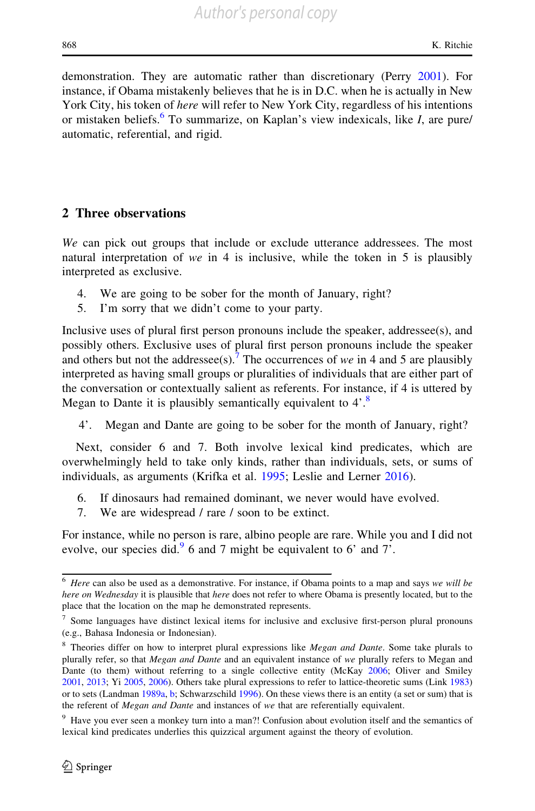<span id="page-5-0"></span>demonstration. They are automatic rather than discretionary (Perry [2001](#page-18-0)). For instance, if Obama mistakenly believes that he is in D.C. when he is actually in New York City, his token of *here* will refer to New York City, regardless of his intentions or mistaken beliefs. $6$  To summarize, on Kaplan's view indexicals, like I, are pure/ automatic, referential, and rigid.

#### 2 Three observations

We can pick out groups that include or exclude utterance addressees. The most natural interpretation of we in 4 is inclusive, while the token in 5 is plausibly interpreted as exclusive.

- 4. We are going to be sober for the month of January, right?
- 5. I'm sorry that we didn't come to your party.

Inclusive uses of plural first person pronouns include the speaker, addressee(s), and possibly others. Exclusive uses of plural first person pronouns include the speaker and others but not the addressee(s).<sup>7</sup> The occurrences of we in 4 and 5 are plausibly interpreted as having small groups or pluralities of individuals that are either part of the conversation or contextually salient as referents. For instance, if 4 is uttered by Megan to Dante it is plausibly semantically equivalent to  $4'$ .

4'. Megan and Dante are going to be sober for the month of January, right?

Next, consider 6 and 7. Both involve lexical kind predicates, which are overwhelmingly held to take only kinds, rather than individuals, sets, or sums of individuals, as arguments (Krifka et al. [1995](#page-18-0); Leslie and Lerner [2016](#page-18-0)).

- 6. If dinosaurs had remained dominant, we never would have evolved.
- 7. We are widespread / rare / soon to be extinct.

For instance, while no person is rare, albino people are rare. While you and I did not evolve, our species did.<sup>9</sup> 6 and 7 might be equivalent to 6' and 7'.

 $6$  Here can also be used as a demonstrative. For instance, if Obama points to a map and says we will be here on Wednesday it is plausible that here does not refer to where Obama is presently located, but to the place that the location on the map he demonstrated represents.

<sup>7</sup> Some languages have distinct lexical items for inclusive and exclusive first-person plural pronouns (e.g., Bahasa Indonesia or Indonesian).

<sup>&</sup>lt;sup>8</sup> Theories differ on how to interpret plural expressions like Megan and Dante. Some take plurals to plurally refer, so that *Megan and Dante* and an equivalent instance of we plurally refers to Megan and Dante (to them) without referring to a single collective entity (McKay [2006;](#page-18-0) Oliver and Smiley [2001,](#page-18-0) [2013](#page-18-0); Yi [2005,](#page-19-0) [2006\)](#page-19-0). Others take plural expressions to refer to lattice-theoretic sums (Link [1983\)](#page-18-0) or to sets (Landman [1989a,](#page-18-0) [b;](#page-18-0) Schwarzschild [1996](#page-19-0)). On these views there is an entity (a set or sum) that is the referent of Megan and Dante and instances of we that are referentially equivalent.

<sup>&</sup>lt;sup>9</sup> Have you ever seen a monkey turn into a man?! Confusion about evolution itself and the semantics of lexical kind predicates underlies this quizzical argument against the theory of evolution.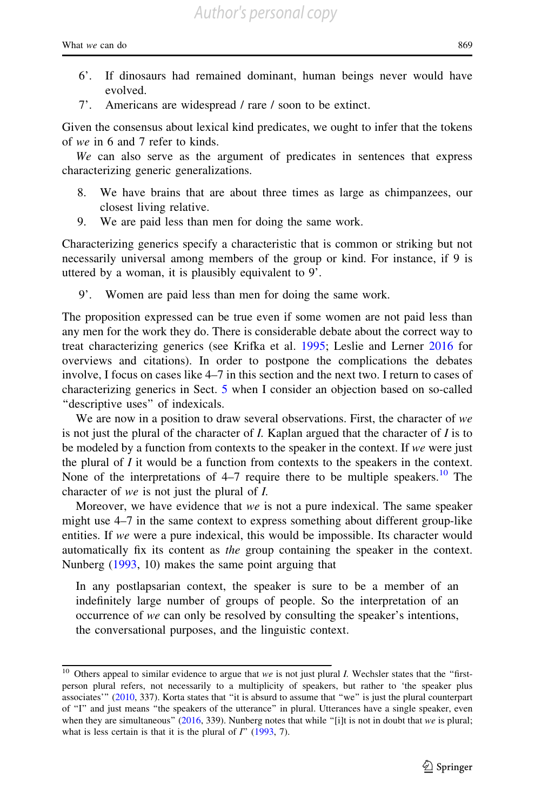- 6'. If dinosaurs had remained dominant, human beings never would have evolved.
- 7'. Americans are widespread / rare / soon to be extinct.

Given the consensus about lexical kind predicates, we ought to infer that the tokens of we in 6 and 7 refer to kinds.

We can also serve as the argument of predicates in sentences that express characterizing generic generalizations.

- 8. We have brains that are about three times as large as chimpanzees, our closest living relative.
- 9. We are paid less than men for doing the same work.

Characterizing generics specify a characteristic that is common or striking but not necessarily universal among members of the group or kind. For instance, if 9 is uttered by a woman, it is plausibly equivalent to 9'.

9'. Women are paid less than men for doing the same work.

The proposition expressed can be true even if some women are not paid less than any men for the work they do. There is considerable debate about the correct way to treat characterizing generics (see Krifka et al. [1995](#page-18-0); Leslie and Lerner [2016](#page-18-0) for overviews and citations). In order to postpone the complications the debates involve, I focus on cases like 4–7 in this section and the next two. I return to cases of characterizing generics in Sect. [5](#page-14-0) when I consider an objection based on so-called ''descriptive uses'' of indexicals.

We are now in a position to draw several observations. First, the character of we is not just the plural of the character of  $I$ . Kaplan argued that the character of  $I$  is to be modeled by a function from contexts to the speaker in the context. If we were just the plural of  $I$  it would be a function from contexts to the speakers in the context. None of the interpretations of  $4-7$  require there to be multiple speakers.<sup>10</sup> The character of we is not just the plural of I.

Moreover, we have evidence that we is not a pure indexical. The same speaker might use 4–7 in the same context to express something about different group-like entities. If we were a pure indexical, this would be impossible. Its character would automatically fix its content as the group containing the speaker in the context. Nunberg ([1993,](#page-18-0) 10) makes the same point arguing that

In any postlapsarian context, the speaker is sure to be a member of an indefinitely large number of groups of people. So the interpretation of an occurrence of we can only be resolved by consulting the speaker's intentions, the conversational purposes, and the linguistic context.

 $10$  Others appeal to similar evidence to argue that we is not just plural I. Wechsler states that the "firstperson plural refers, not necessarily to a multiplicity of speakers, but rather to 'the speaker plus associates'" ([2010,](#page-19-0) 337). Korta states that "it is absurd to assume that "we" is just the plural counterpart of "I" and just means "the speakers of the utterance" in plural. Utterances have a single speaker, even when they are simultaneous" [\(2016](#page-18-0), 339). Nunberg notes that while "[i]t is not in doubt that we is plural; what is less certain is that it is the plural of  $\Gamma$ <sup>'</sup> [\(1993](#page-18-0), 7).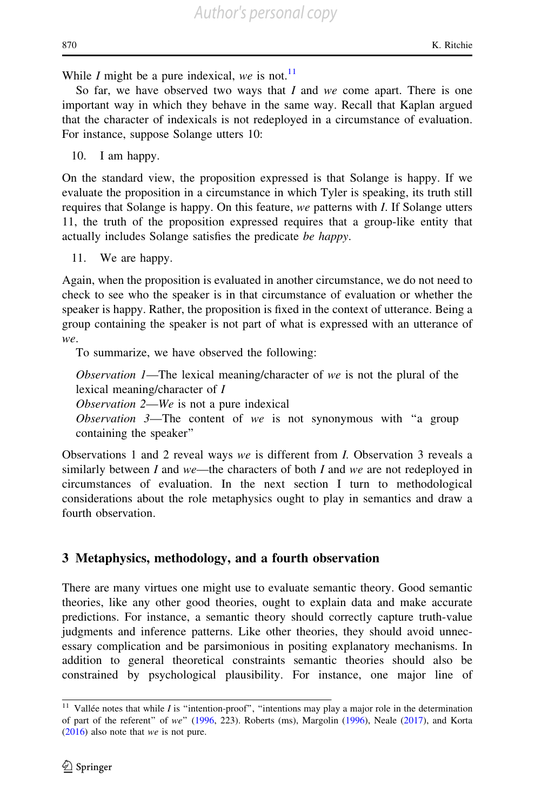<span id="page-7-0"></span>While I might be a pure indexical, we is not.<sup>11</sup>

So far, we have observed two ways that  $I$  and we come apart. There is one important way in which they behave in the same way. Recall that Kaplan argued that the character of indexicals is not redeployed in a circumstance of evaluation. For instance, suppose Solange utters 10:

10. I am happy.

On the standard view, the proposition expressed is that Solange is happy. If we evaluate the proposition in a circumstance in which Tyler is speaking, its truth still requires that Solange is happy. On this feature, we patterns with I. If Solange utters 11, the truth of the proposition expressed requires that a group-like entity that actually includes Solange satisfies the predicate be happy.

11. We are happy.

Again, when the proposition is evaluated in another circumstance, we do not need to check to see who the speaker is in that circumstance of evaluation or whether the speaker is happy. Rather, the proposition is fixed in the context of utterance. Being a group containing the speaker is not part of what is expressed with an utterance of we.

To summarize, we have observed the following:

Observation 1—The lexical meaning/character of we is not the plural of the lexical meaning/character of I

Observation 2—We is not a pure indexical

*Observation 3*—The content of we is not synonymous with "a group containing the speaker''

Observations 1 and 2 reveal ways we is different from I. Observation 3 reveals a similarly between I and we—the characters of both I and we are not redeployed in circumstances of evaluation. In the next section I turn to methodological considerations about the role metaphysics ought to play in semantics and draw a fourth observation.

# 3 Metaphysics, methodology, and a fourth observation

There are many virtues one might use to evaluate semantic theory. Good semantic theories, like any other good theories, ought to explain data and make accurate predictions. For instance, a semantic theory should correctly capture truth-value judgments and inference patterns. Like other theories, they should avoid unnecessary complication and be parsimonious in positing explanatory mechanisms. In addition to general theoretical constraints semantic theories should also be constrained by psychological plausibility. For instance, one major line of

<sup>&</sup>lt;sup>11</sup> Vallée notes that while *I* is "intention-proof", "intentions may play a major role in the determination of part of the referent" of we"  $(1996, 223)$  $(1996, 223)$ . Roberts (ms), Margolin  $(1996)$  $(1996)$ , Neale  $(2017)$  $(2017)$ , and Korta ([2016\)](#page-18-0) also note that we is not pure.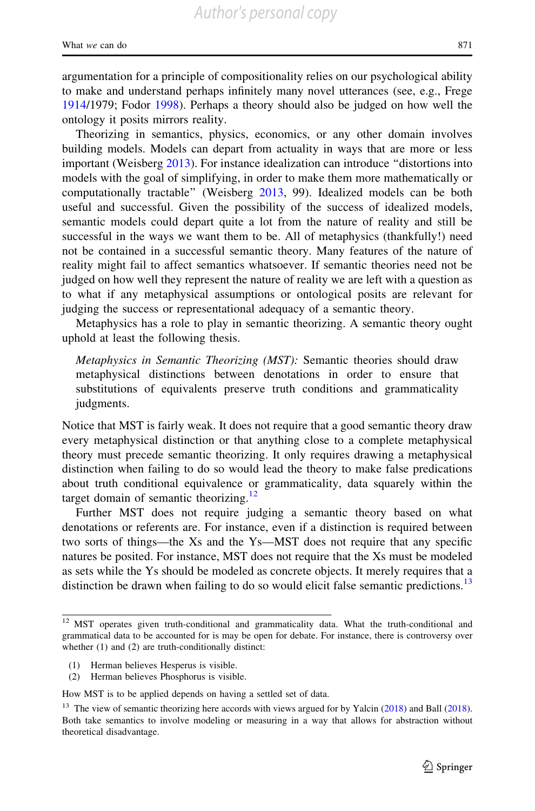*Author's personal copy*

argumentation for a principle of compositionality relies on our psychological ability to make and understand perhaps infinitely many novel utterances (see, e.g., Frege [1914/](#page-18-0)1979; Fodor [1998](#page-17-0)). Perhaps a theory should also be judged on how well the ontology it posits mirrors reality.

Theorizing in semantics, physics, economics, or any other domain involves building models. Models can depart from actuality in ways that are more or less important (Weisberg [2013\)](#page-19-0). For instance idealization can introduce ''distortions into models with the goal of simplifying, in order to make them more mathematically or computationally tractable'' (Weisberg [2013](#page-19-0), 99). Idealized models can be both useful and successful. Given the possibility of the success of idealized models, semantic models could depart quite a lot from the nature of reality and still be successful in the ways we want them to be. All of metaphysics (thankfully!) need not be contained in a successful semantic theory. Many features of the nature of reality might fail to affect semantics whatsoever. If semantic theories need not be judged on how well they represent the nature of reality we are left with a question as to what if any metaphysical assumptions or ontological posits are relevant for judging the success or representational adequacy of a semantic theory.

Metaphysics has a role to play in semantic theorizing. A semantic theory ought uphold at least the following thesis.

Metaphysics in Semantic Theorizing (MST): Semantic theories should draw metaphysical distinctions between denotations in order to ensure that substitutions of equivalents preserve truth conditions and grammaticality judgments.

Notice that MST is fairly weak. It does not require that a good semantic theory draw every metaphysical distinction or that anything close to a complete metaphysical theory must precede semantic theorizing. It only requires drawing a metaphysical distinction when failing to do so would lead the theory to make false predications about truth conditional equivalence or grammaticality, data squarely within the target domain of semantic theorizing.<sup>12</sup>

Further MST does not require judging a semantic theory based on what denotations or referents are. For instance, even if a distinction is required between two sorts of things—the Xs and the Ys—MST does not require that any specific natures be posited. For instance, MST does not require that the Xs must be modeled as sets while the Ys should be modeled as concrete objects. It merely requires that a distinction be drawn when failing to do so would elicit false semantic predictions.<sup>13</sup>

(2) Herman believes Phosphorus is visible.

How MST is to be applied depends on having a settled set of data.

<sup>&</sup>lt;sup>12</sup> MST operates given truth-conditional and grammaticality data. What the truth-conditional and grammatical data to be accounted for is may be open for debate. For instance, there is controversy over whether (1) and (2) are truth-conditionally distinct:

<sup>(1)</sup> Herman believes Hesperus is visible.

<sup>&</sup>lt;sup>13</sup> The view of semantic theorizing here accords with views argued for by Yalcin ([2018\)](#page-17-0) and Ball (2018). Both take semantics to involve modeling or measuring in a way that allows for abstraction without theoretical disadvantage.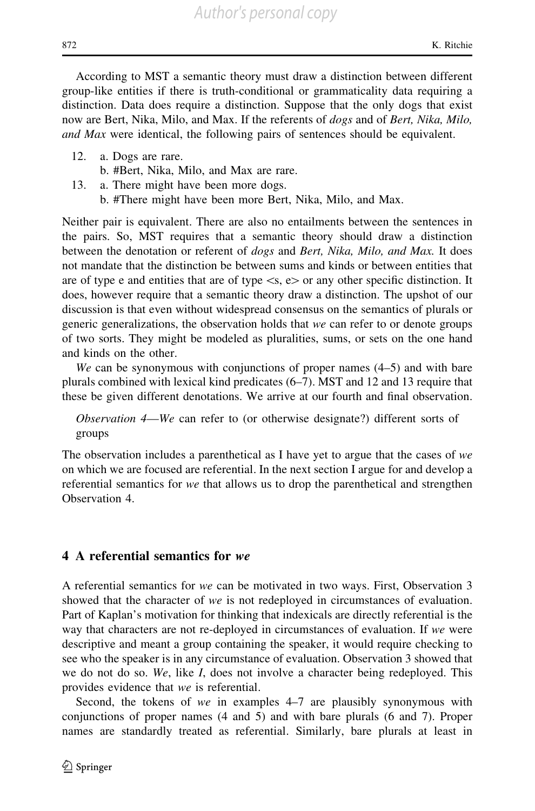<span id="page-9-0"></span>According to MST a semantic theory must draw a distinction between different group-like entities if there is truth-conditional or grammaticality data requiring a distinction. Data does require a distinction. Suppose that the only dogs that exist now are Bert, Nika, Milo, and Max. If the referents of *dogs* and of *Bert, Nika, Milo,* and Max were identical, the following pairs of sentences should be equivalent.

- 12. a. Dogs are rare.
	- b. #Bert, Nika, Milo, and Max are rare.
- 13. a. There might have been more dogs.
	- b. #There might have been more Bert, Nika, Milo, and Max.

Neither pair is equivalent. There are also no entailments between the sentences in the pairs. So, MST requires that a semantic theory should draw a distinction between the denotation or referent of dogs and Bert, Nika, Milo, and Max. It does not mandate that the distinction be between sums and kinds or between entities that are of type e and entities that are of type  $\langle s, e \rangle$  or any other specific distinction. It does, however require that a semantic theory draw a distinction. The upshot of our discussion is that even without widespread consensus on the semantics of plurals or generic generalizations, the observation holds that we can refer to or denote groups of two sorts. They might be modeled as pluralities, sums, or sets on the one hand and kinds on the other.

We can be synonymous with conjunctions of proper names  $(4-5)$  and with bare plurals combined with lexical kind predicates (6–7). MST and 12 and 13 require that these be given different denotations. We arrive at our fourth and final observation.

Observation 4—We can refer to (or otherwise designate?) different sorts of groups

The observation includes a parenthetical as I have yet to argue that the cases of we on which we are focused are referential. In the next section I argue for and develop a referential semantics for we that allows us to drop the parenthetical and strengthen Observation 4.

# 4 A referential semantics for we

A referential semantics for we can be motivated in two ways. First, Observation 3 showed that the character of we is not redeployed in circumstances of evaluation. Part of Kaplan's motivation for thinking that indexicals are directly referential is the way that characters are not re-deployed in circumstances of evaluation. If we were descriptive and meant a group containing the speaker, it would require checking to see who the speaker is in any circumstance of evaluation. Observation 3 showed that we do not do so. We, like I, does not involve a character being redeployed. This provides evidence that we is referential.

Second, the tokens of we in examples 4–7 are plausibly synonymous with conjunctions of proper names (4 and 5) and with bare plurals (6 and 7). Proper names are standardly treated as referential. Similarly, bare plurals at least in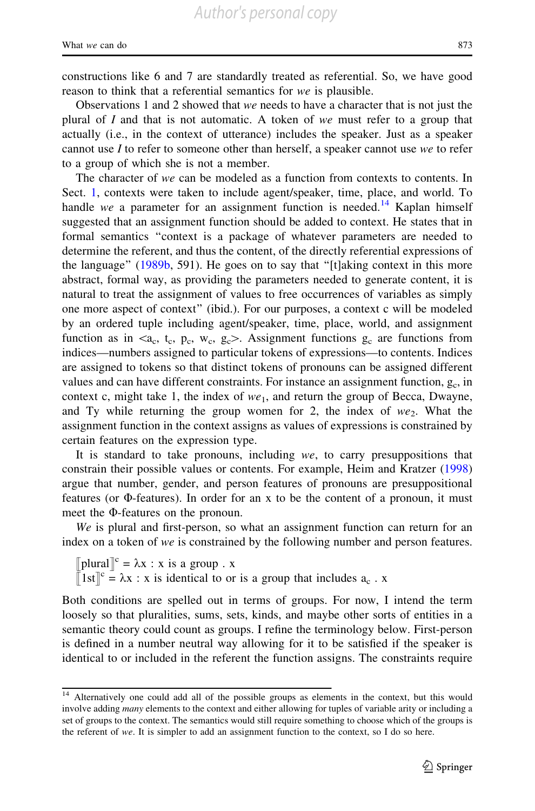constructions like 6 and 7 are standardly treated as referential. So, we have good reason to think that a referential semantics for we is plausible.

Observations 1 and 2 showed that we needs to have a character that is not just the plural of  $I$  and that is not automatic. A token of we must refer to a group that actually (i.e., in the context of utterance) includes the speaker. Just as a speaker cannot use I to refer to someone other than herself, a speaker cannot use we to refer to a group of which she is not a member.

The character of we can be modeled as a function from contexts to contents. In Sect. [1,](#page-4-0) contexts were taken to include agent/speaker, time, place, and world. To handle we a parameter for an assignment function is needed.<sup>14</sup> Kaplan himself suggested that an assignment function should be added to context. He states that in formal semantics ''context is a package of whatever parameters are needed to determine the referent, and thus the content, of the directly referential expressions of the language'' ([1989b,](#page-18-0) 591). He goes on to say that ''[t]aking context in this more abstract, formal way, as providing the parameters needed to generate content, it is natural to treat the assignment of values to free occurrences of variables as simply one more aspect of context'' (ibid.). For our purposes, a context c will be modeled by an ordered tuple including agent/speaker, time, place, world, and assignment function as in  $\langle a_c, t_c, p_c, w_c, g_c \rangle$ . Assignment functions  $g_c$  are functions from indices—numbers assigned to particular tokens of expressions—to contents. Indices are assigned to tokens so that distinct tokens of pronouns can be assigned different values and can have different constraints. For instance an assignment function,  $g_c$ , in context c, might take 1, the index of  $we_1$ , and return the group of Becca, Dwayne, and Ty while returning the group women for 2, the index of  $we_2$ . What the assignment function in the context assigns as values of expressions is constrained by certain features on the expression type.

It is standard to take pronouns, including we, to carry presuppositions that constrain their possible values or contents. For example, Heim and Kratzer [\(1998](#page-18-0)) argue that number, gender, and person features of pronouns are presuppositional features (or  $\Phi$ -features). In order for an x to be the content of a pronoun, it must meet the  $\Phi$ -features on the pronoun.

We is plural and first-person, so what an assignment function can return for an index on a token of we is constrained by the following number and person features.

 $[{\text{plural}}]^c = \lambda x : x$  is a group. x  $\[\mathbb{I} \text{st}]\]$ <sup>c</sup> =  $\lambda x : x$  is identical to or is a group that includes  $a_c$ . x

Both conditions are spelled out in terms of groups. For now, I intend the term loosely so that pluralities, sums, sets, kinds, and maybe other sorts of entities in a semantic theory could count as groups. I refine the terminology below. First-person is defined in a number neutral way allowing for it to be satisfied if the speaker is identical to or included in the referent the function assigns. The constraints require

<sup>&</sup>lt;sup>14</sup> Alternatively one could add all of the possible groups as elements in the context, but this would involve adding many elements to the context and either allowing for tuples of variable arity or including a set of groups to the context. The semantics would still require something to choose which of the groups is the referent of we. It is simpler to add an assignment function to the context, so I do so here.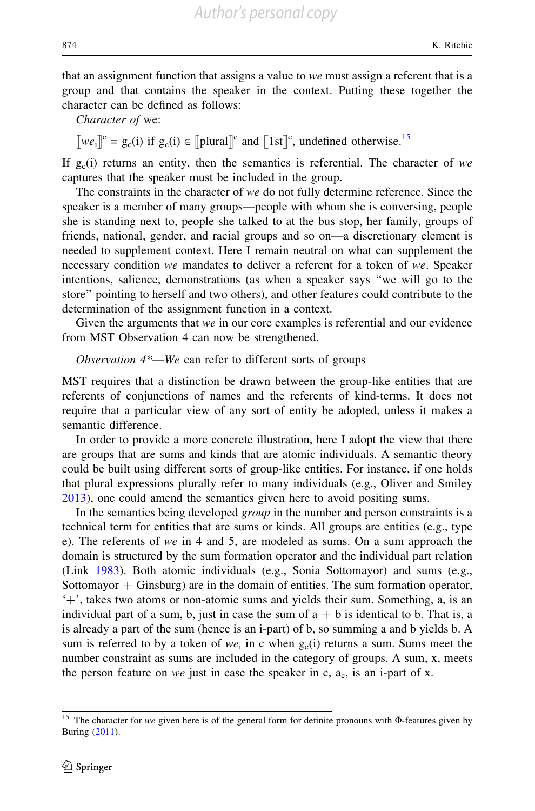that an assignment function that assigns a value to we must assign a referent that is a group and that contains the speaker in the context. Putting these together the character can be defined as follows:

Character of we:

 $\left[\![we_i]\!\right]^c = g_c(i)$  if  $g_c(i) \in \left[\![\text{plural}]\!\right]^c$  and  $\left[\![1st]\!\right]^c$ , undefined otherwise.<sup>15</sup>

If  $g_c(i)$  returns an entity, then the semantics is referential. The character of we captures that the speaker must be included in the group.

The constraints in the character of we do not fully determine reference. Since the speaker is a member of many groups—people with whom she is conversing, people she is standing next to, people she talked to at the bus stop, her family, groups of friends, national, gender, and racial groups and so on—a discretionary element is needed to supplement context. Here I remain neutral on what can supplement the necessary condition we mandates to deliver a referent for a token of we. Speaker intentions, salience, demonstrations (as when a speaker says ''we will go to the store'' pointing to herself and two others), and other features could contribute to the determination of the assignment function in a context.

Given the arguments that we in our core examples is referential and our evidence from MST Observation 4 can now be strengthened.

Observation  $4^*$ —We can refer to different sorts of groups

MST requires that a distinction be drawn between the group-like entities that are referents of conjunctions of names and the referents of kind-terms. It does not require that a particular view of any sort of entity be adopted, unless it makes a semantic difference.

In order to provide a more concrete illustration, here I adopt the view that there are groups that are sums and kinds that are atomic individuals. A semantic theory could be built using different sorts of group-like entities. For instance, if one holds that plural expressions plurally refer to many individuals (e.g., Oliver and Smiley [2013\)](#page-18-0), one could amend the semantics given here to avoid positing sums.

In the semantics being developed *group* in the number and person constraints is a technical term for entities that are sums or kinds. All groups are entities (e.g., type e). The referents of we in 4 and 5, are modeled as sums. On a sum approach the domain is structured by the sum formation operator and the individual part relation (Link [1983](#page-18-0)). Both atomic individuals (e.g., Sonia Sottomayor) and sums (e.g., Sottomayor  $+$  Ginsburg) are in the domain of entities. The sum formation operator, <sup>'+</sup>', takes two atoms or non-atomic sums and yields their sum. Something, a, is an individual part of a sum, b, just in case the sum of  $a + b$  is identical to b. That is, a is already a part of the sum (hence is an i-part) of b, so summing a and b yields b. A sum is referred to by a token of we<sub>i</sub> in c when  $g_c(i)$  returns a sum. Sums meet the number constraint as sums are included in the category of groups. A sum, x, meets the person feature on we just in case the speaker in c,  $a<sub>c</sub>$ , is an i-part of x.

<sup>&</sup>lt;sup>15</sup> The character for we given here is of the general form for definite pronouns with  $\Phi$ -features given by Buring [\(2011](#page-17-0)).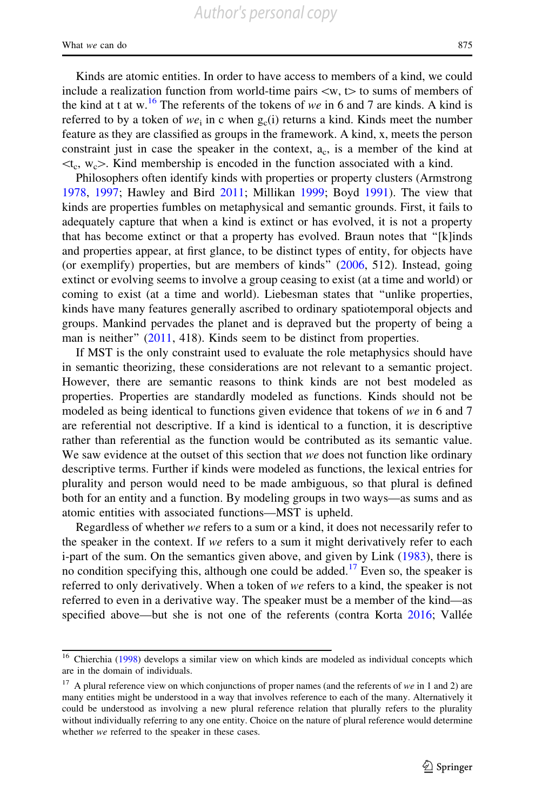What we can do 875

Kinds are atomic entities. In order to have access to members of a kind, we could include a realization function from world-time pairs  $\langle w, t \rangle$  to sums of members of the kind at t at w.<sup>16</sup> The referents of the tokens of we in 6 and 7 are kinds. A kind is referred to by a token of we<sub>i</sub> in c when  $g_c(i)$  returns a kind. Kinds meet the number feature as they are classified as groups in the framework. A kind, x, meets the person constraint just in case the speaker in the context,  $a_c$ , is a member of the kind at  $\lt t_c$ , w<sub>c</sub>>. Kind membership is encoded in the function associated with a kind.

Philosophers often identify kinds with properties or property clusters (Armstrong [1978,](#page-17-0) [1997;](#page-17-0) Hawley and Bird [2011;](#page-18-0) Millikan [1999;](#page-18-0) Boyd [1991\)](#page-17-0). The view that kinds are properties fumbles on metaphysical and semantic grounds. First, it fails to adequately capture that when a kind is extinct or has evolved, it is not a property that has become extinct or that a property has evolved. Braun notes that ''[k]inds and properties appear, at first glance, to be distinct types of entity, for objects have (or exemplify) properties, but are members of kinds'' ([2006,](#page-17-0) 512). Instead, going extinct or evolving seems to involve a group ceasing to exist (at a time and world) or coming to exist (at a time and world). Liebesman states that ''unlike properties, kinds have many features generally ascribed to ordinary spatiotemporal objects and groups. Mankind pervades the planet and is depraved but the property of being a man is neither" ([2011,](#page-18-0) 418). Kinds seem to be distinct from properties.

If MST is the only constraint used to evaluate the role metaphysics should have in semantic theorizing, these considerations are not relevant to a semantic project. However, there are semantic reasons to think kinds are not best modeled as properties. Properties are standardly modeled as functions. Kinds should not be modeled as being identical to functions given evidence that tokens of we in 6 and 7 are referential not descriptive. If a kind is identical to a function, it is descriptive rather than referential as the function would be contributed as its semantic value. We saw evidence at the outset of this section that we does not function like ordinary descriptive terms. Further if kinds were modeled as functions, the lexical entries for plurality and person would need to be made ambiguous, so that plural is defined both for an entity and a function. By modeling groups in two ways—as sums and as atomic entities with associated functions—MST is upheld.

Regardless of whether we refers to a sum or a kind, it does not necessarily refer to the speaker in the context. If we refers to a sum it might derivatively refer to each i-part of the sum. On the semantics given above, and given by Link [\(1983](#page-18-0)), there is no condition specifying this, although one could be added.<sup>17</sup> Even so, the speaker is referred to only derivatively. When a token of we refers to a kind, the speaker is not referred to even in a derivative way. The speaker must be a member of the kind—as specified above—but she is not one of the referents (contra Korta  $2016$ ; Vallée

<sup>&</sup>lt;sup>16</sup> Chierchia [\(1998](#page-17-0)) develops a similar view on which kinds are modeled as individual concepts which are in the domain of individuals.

 $17$  A plural reference view on which conjunctions of proper names (and the referents of we in 1 and 2) are many entities might be understood in a way that involves reference to each of the many. Alternatively it could be understood as involving a new plural reference relation that plurally refers to the plurality without individually referring to any one entity. Choice on the nature of plural reference would determine whether we referred to the speaker in these cases.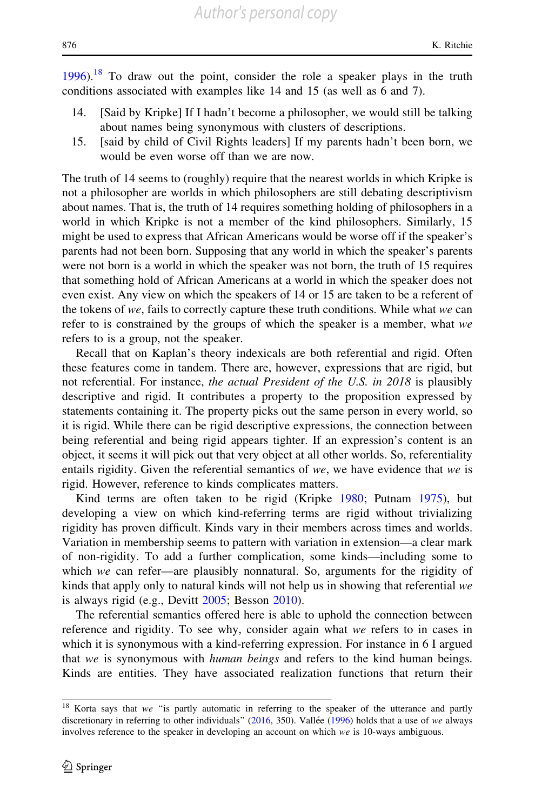[1996\)](#page-19-0).<sup>18</sup> To draw out the point, consider the role a speaker plays in the truth conditions associated with examples like 14 and 15 (as well as 6 and 7).

- 14. [Said by Kripke] If I hadn't become a philosopher, we would still be talking about names being synonymous with clusters of descriptions.
- 15. [said by child of Civil Rights leaders] If my parents hadn't been born, we would be even worse off than we are now.

The truth of 14 seems to (roughly) require that the nearest worlds in which Kripke is not a philosopher are worlds in which philosophers are still debating descriptivism about names. That is, the truth of 14 requires something holding of philosophers in a world in which Kripke is not a member of the kind philosophers. Similarly, 15 might be used to express that African Americans would be worse off if the speaker's parents had not been born. Supposing that any world in which the speaker's parents were not born is a world in which the speaker was not born, the truth of 15 requires that something hold of African Americans at a world in which the speaker does not even exist. Any view on which the speakers of 14 or 15 are taken to be a referent of the tokens of we, fails to correctly capture these truth conditions. While what we can refer to is constrained by the groups of which the speaker is a member, what we refers to is a group, not the speaker.

Recall that on Kaplan's theory indexicals are both referential and rigid. Often these features come in tandem. There are, however, expressions that are rigid, but not referential. For instance, the actual President of the U.S. in 2018 is plausibly descriptive and rigid. It contributes a property to the proposition expressed by statements containing it. The property picks out the same person in every world, so it is rigid. While there can be rigid descriptive expressions, the connection between being referential and being rigid appears tighter. If an expression's content is an object, it seems it will pick out that very object at all other worlds. So, referentiality entails rigidity. Given the referential semantics of we, we have evidence that we is rigid. However, reference to kinds complicates matters.

Kind terms are often taken to be rigid (Kripke [1980;](#page-18-0) Putnam [1975\)](#page-18-0), but developing a view on which kind-referring terms are rigid without trivializing rigidity has proven difficult. Kinds vary in their members across times and worlds. Variation in membership seems to pattern with variation in extension—a clear mark of non-rigidity. To add a further complication, some kinds—including some to which we can refer—are plausibly nonnatural. So, arguments for the rigidity of kinds that apply only to natural kinds will not help us in showing that referential we is always rigid (e.g., Devitt [2005](#page-17-0); Besson [2010](#page-17-0)).

The referential semantics offered here is able to uphold the connection between reference and rigidity. To see why, consider again what we refers to in cases in which it is synonymous with a kind-referring expression. For instance in 6 I argued that we is synonymous with *human beings* and refers to the kind human beings. Kinds are entities. They have associated realization functions that return their

<sup>&</sup>lt;sup>18</sup> Korta says that we "is partly automatic in referring to the speaker of the utterance and partly discretionary in referring to other individuals"  $(2016, 350)$  $(2016, 350)$ . Vallée ([1996\)](#page-19-0) holds that a use of we always involves reference to the speaker in developing an account on which we is 10-ways ambiguous.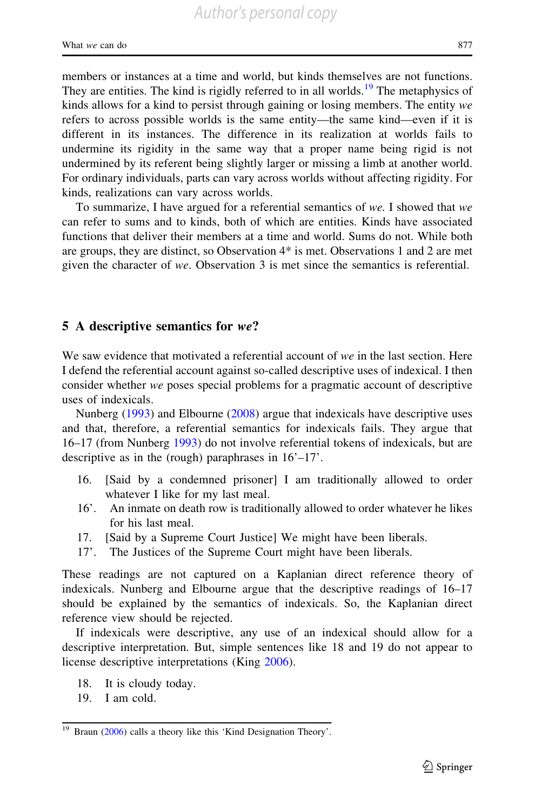<span id="page-14-0"></span>members or instances at a time and world, but kinds themselves are not functions. They are entities. The kind is rigidly referred to in all worlds.<sup>19</sup> The metaphysics of kinds allows for a kind to persist through gaining or losing members. The entity we refers to across possible worlds is the same entity—the same kind—even if it is different in its instances. The difference in its realization at worlds fails to undermine its rigidity in the same way that a proper name being rigid is not undermined by its referent being slightly larger or missing a limb at another world. For ordinary individuals, parts can vary across worlds without affecting rigidity. For kinds, realizations can vary across worlds.

To summarize, I have argued for a referential semantics of we. I showed that we can refer to sums and to kinds, both of which are entities. Kinds have associated functions that deliver their members at a time and world. Sums do not. While both are groups, they are distinct, so Observation 4\* is met. Observations 1 and 2 are met given the character of we. Observation 3 is met since the semantics is referential.

### 5 A descriptive semantics for we?

We saw evidence that motivated a referential account of we in the last section. Here I defend the referential account against so-called descriptive uses of indexical. I then consider whether we poses special problems for a pragmatic account of descriptive uses of indexicals.

Nunberg [\(1993](#page-18-0)) and Elbourne ([2008\)](#page-17-0) argue that indexicals have descriptive uses and that, therefore, a referential semantics for indexicals fails. They argue that 16–17 (from Nunberg [1993](#page-18-0)) do not involve referential tokens of indexicals, but are descriptive as in the (rough) paraphrases in 16'–17'.

- 16. [Said by a condemned prisoner] I am traditionally allowed to order whatever I like for my last meal.
- 16'. An inmate on death row is traditionally allowed to order whatever he likes for his last meal.
- 17. [Said by a Supreme Court Justice] We might have been liberals.
- 17'. The Justices of the Supreme Court might have been liberals.

These readings are not captured on a Kaplanian direct reference theory of indexicals. Nunberg and Elbourne argue that the descriptive readings of 16–17 should be explained by the semantics of indexicals. So, the Kaplanian direct reference view should be rejected.

If indexicals were descriptive, any use of an indexical should allow for a descriptive interpretation. But, simple sentences like 18 and 19 do not appear to license descriptive interpretations (King [2006](#page-18-0)).

- 18. It is cloudy today.
- 19. I am cold.

Braun ([2006\)](#page-17-0) calls a theory like this 'Kind Designation Theory'.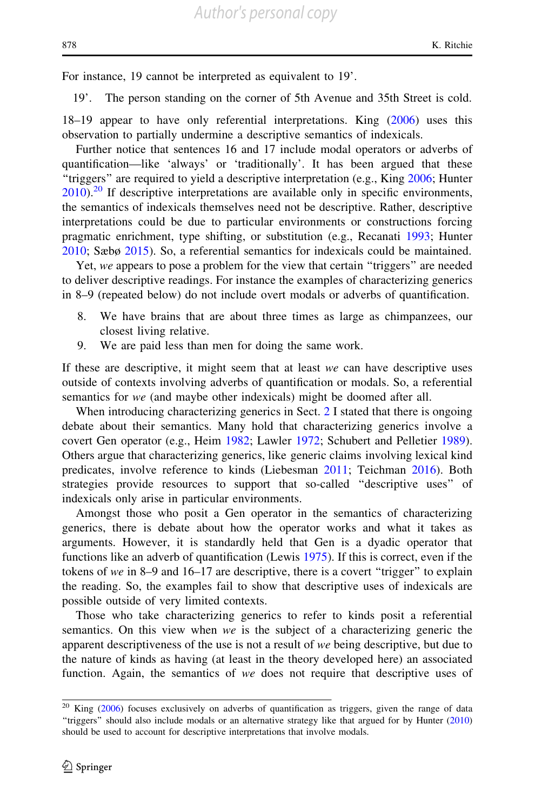For instance, 19 cannot be interpreted as equivalent to 19'.

19'. The person standing on the corner of 5th Avenue and 35th Street is cold.

18–19 appear to have only referential interpretations. King [\(2006](#page-18-0)) uses this observation to partially undermine a descriptive semantics of indexicals.

Further notice that sentences 16 and 17 include modal operators or adverbs of quantification—like 'always' or 'traditionally'. It has been argued that these "triggers" are required to yield a descriptive interpretation (e.g., King [2006](#page-18-0); Hunter  $2010$ ).<sup>20</sup> If descriptive interpretations are available only in specific environments, the semantics of indexicals themselves need not be descriptive. Rather, descriptive interpretations could be due to particular environments or constructions forcing pragmatic enrichment, type shifting, or substitution (e.g., Recanati [1993;](#page-18-0) Hunter [2010;](#page-18-0) Sæbø [2015\)](#page-19-0). So, a referential semantics for indexicals could be maintained.

Yet, we appears to pose a problem for the view that certain "triggers" are needed to deliver descriptive readings. For instance the examples of characterizing generics in 8–9 (repeated below) do not include overt modals or adverbs of quantification.

- 8. We have brains that are about three times as large as chimpanzees, our closest living relative.
- 9. We are paid less than men for doing the same work.

If these are descriptive, it might seem that at least we can have descriptive uses outside of contexts involving adverbs of quantification or modals. So, a referential semantics for we (and maybe other indexicals) might be doomed after all.

When introducing characterizing generics in Sect. [2](#page-5-0) I stated that there is ongoing debate about their semantics. Many hold that characterizing generics involve a covert Gen operator (e.g., Heim [1982](#page-18-0); Lawler [1972;](#page-18-0) Schubert and Pelletier [1989\)](#page-19-0). Others argue that characterizing generics, like generic claims involving lexical kind predicates, involve reference to kinds (Liebesman [2011](#page-18-0); Teichman [2016](#page-19-0)). Both strategies provide resources to support that so-called ''descriptive uses'' of indexicals only arise in particular environments.

Amongst those who posit a Gen operator in the semantics of characterizing generics, there is debate about how the operator works and what it takes as arguments. However, it is standardly held that Gen is a dyadic operator that functions like an adverb of quantification (Lewis [1975](#page-18-0)). If this is correct, even if the tokens of we in 8–9 and 16–17 are descriptive, there is a covert "trigger" to explain the reading. So, the examples fail to show that descriptive uses of indexicals are possible outside of very limited contexts.

Those who take characterizing generics to refer to kinds posit a referential semantics. On this view when we is the subject of a characterizing generic the apparent descriptiveness of the use is not a result of we being descriptive, but due to the nature of kinds as having (at least in the theory developed here) an associated function. Again, the semantics of we does not require that descriptive uses of

<sup>&</sup>lt;sup>20</sup> King ([2006\)](#page-18-0) focuses exclusively on adverbs of quantification as triggers, given the range of data ''triggers'' should also include modals or an alternative strategy like that argued for by Hunter ([2010\)](#page-18-0) should be used to account for descriptive interpretations that involve modals.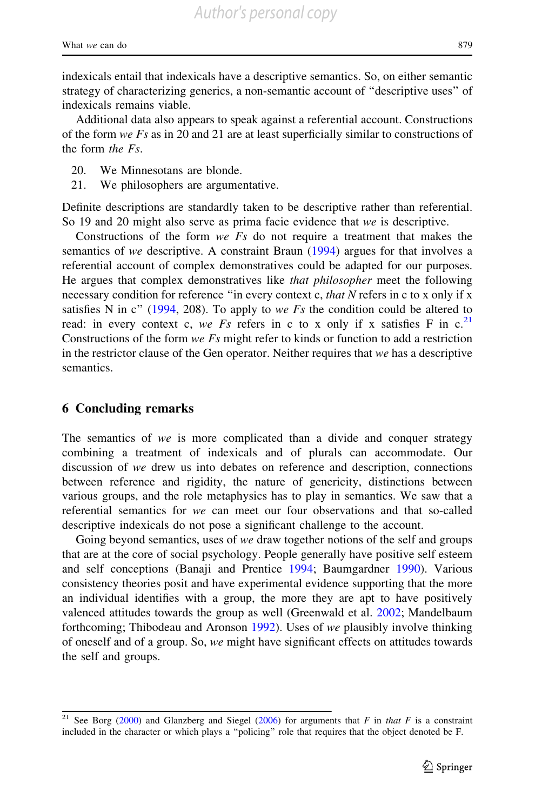<span id="page-16-0"></span>indexicals entail that indexicals have a descriptive semantics. So, on either semantic strategy of characterizing generics, a non-semantic account of ''descriptive uses'' of indexicals remains viable.

Additional data also appears to speak against a referential account. Constructions of the form we Fs as in 20 and 21 are at least superficially similar to constructions of the form the Fs.

- 20. We Minnesotans are blonde.
- 21. We philosophers are argumentative.

Definite descriptions are standardly taken to be descriptive rather than referential. So 19 and 20 might also serve as prima facie evidence that we is descriptive.

Constructions of the form we  $Fs$  do not require a treatment that makes the semantics of we descriptive. A constraint Braun ([1994\)](#page-17-0) argues for that involves a referential account of complex demonstratives could be adapted for our purposes. He argues that complex demonstratives like that philosopher meet the following necessary condition for reference "in every context c, that N refers in c to x only if x satisfies N in c" ([1994,](#page-17-0) 208). To apply to we Fs the condition could be altered to read: in every context c, we Fs refers in c to x only if x satisfies F in  $c<sup>21</sup>$ Constructions of the form we  $Fs$  might refer to kinds or function to add a restriction in the restrictor clause of the Gen operator. Neither requires that we has a descriptive semantics.

#### 6 Concluding remarks

The semantics of we is more complicated than a divide and conquer strategy combining a treatment of indexicals and of plurals can accommodate. Our discussion of we drew us into debates on reference and description, connections between reference and rigidity, the nature of genericity, distinctions between various groups, and the role metaphysics has to play in semantics. We saw that a referential semantics for we can meet our four observations and that so-called descriptive indexicals do not pose a significant challenge to the account.

Going beyond semantics, uses of we draw together notions of the self and groups that are at the core of social psychology. People generally have positive self esteem and self conceptions (Banaji and Prentice [1994](#page-17-0); Baumgardner [1990](#page-17-0)). Various consistency theories posit and have experimental evidence supporting that the more an individual identifies with a group, the more they are apt to have positively valenced attitudes towards the group as well (Greenwald et al. [2002;](#page-18-0) Mandelbaum forthcoming; Thibodeau and Aronson [1992](#page-19-0)). Uses of we plausibly involve thinking of oneself and of a group. So, we might have significant effects on attitudes towards the self and groups.

See Borg ([2000\)](#page-17-0) and Glanzberg and Siegel [\(2006](#page-18-0)) for arguments that F in that F is a constraint included in the character or which plays a ''policing'' role that requires that the object denoted be F.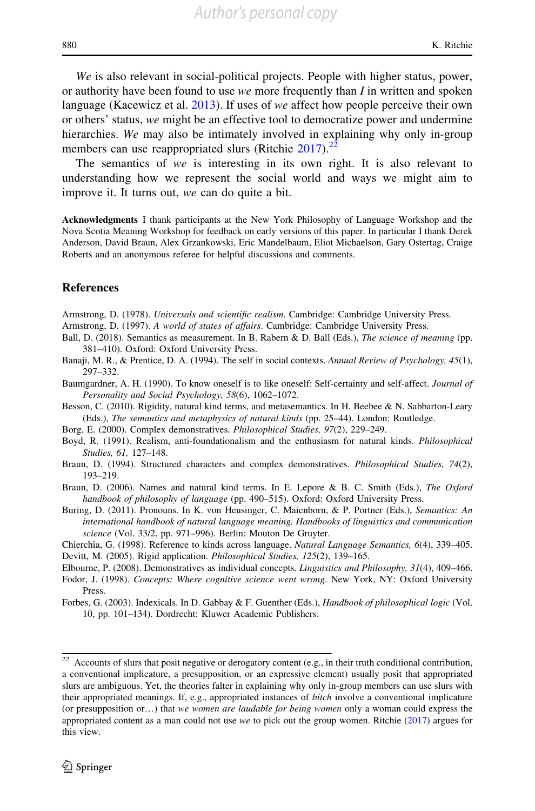<span id="page-17-0"></span>We is also relevant in social-political projects. People with higher status, power, or authority have been found to use we more frequently than  $I$  in written and spoken language (Kacewicz et al. [2013](#page-18-0)). If uses of we affect how people perceive their own or others' status, we might be an effective tool to democratize power and undermine hierarchies. We may also be intimately involved in explaining why only in-group members can use reappropriated slurs (Ritchie  $2017$ ).<sup>22</sup>

The semantics of we is interesting in its own right. It is also relevant to understanding how we represent the social world and ways we might aim to improve it. It turns out, we can do quite a bit.

Acknowledgments I thank participants at the New York Philosophy of Language Workshop and the Nova Scotia Meaning Workshop for feedback on early versions of this paper. In particular I thank Derek Anderson, David Braun, Alex Grzankowski, Eric Mandelbaum, Eliot Michaelson, Gary Ostertag, Craige Roberts and an anonymous referee for helpful discussions and comments.

#### References

Armstrong, D. (1978). Universals and scientific realism. Cambridge: Cambridge University Press.

Armstrong, D. (1997). A world of states of affairs. Cambridge: Cambridge University Press.

- Ball, D. (2018). Semantics as measurement. In B. Rabern & D. Ball (Eds.), *The science of meaning* (pp. 381–410). Oxford: Oxford University Press.
- Banaji, M. R., & Prentice, D. A. (1994). The self in social contexts. Annual Review of Psychology, 45(1), 297–332.
- Baumgardner, A. H. (1990). To know oneself is to like oneself: Self-certainty and self-affect. Journal of Personality and Social Psychology, 58(6), 1062–1072.
- Besson, C. (2010). Rigidity, natural kind terms, and metasemantics. In H. Beebee & N. Sabbarton-Leary (Eds.), The semantics and metaphysics of natural kinds (pp. 25–44). London: Routledge.
- Borg, E. (2000). Complex demonstratives. Philosophical Studies, 97(2), 229–249.
- Boyd, R. (1991). Realism, anti-foundationalism and the enthusiasm for natural kinds. Philosophical Studies, 61, 127–148.
- Braun, D. (1994). Structured characters and complex demonstratives. Philosophical Studies, 74(2), 193–219.
- Braun, D. (2006). Names and natural kind terms. In E. Lepore & B. C. Smith (Eds.), The Oxford handbook of philosophy of language (pp. 490–515). Oxford: Oxford University Press.
- Buring, D. (2011). Pronouns. In K. von Heusinger, C. Maienborn, & P. Portner (Eds.), Semantics: An international handbook of natural language meaning. Handbooks of linguistics and communication science (Vol. 33/2, pp. 971–996). Berlin: Mouton De Gruyter.
- Chierchia, G. (1998). Reference to kinds across language. Natural Language Semantics, 6(4), 339–405. Devitt, M. (2005). Rigid application. Philosophical Studies, 125(2), 139–165.
- Elbourne, P. (2008). Demonstratives as individual concepts. Linguistics and Philosophy, 31(4), 409–466. Fodor, J. (1998). Concepts: Where cognitive science went wrong. New York, NY: Oxford University Press.
- Forbes, G. (2003). Indexicals. In D. Gabbay & F. Guenther (Eds.), *Handbook of philosophical logic* (Vol. 10, pp. 101–134). Dordrecht: Kluwer Academic Publishers.

 $\frac{22}{22}$  Accounts of slurs that posit negative or derogatory content (e.g., in their truth conditional contribution, a conventional implicature, a presupposition, or an expressive element) usually posit that appropriated slurs are ambiguous. Yet, the theories falter in explaining why only in-group members can use slurs with their appropriated meanings. If, e.g., appropriated instances of bitch involve a conventional implicature (or presupposition or…) that we women are laudable for being women only a woman could express the appropriated content as a man could not use we to pick out the group women. Ritchie  $(2017)$  $(2017)$  argues for this view.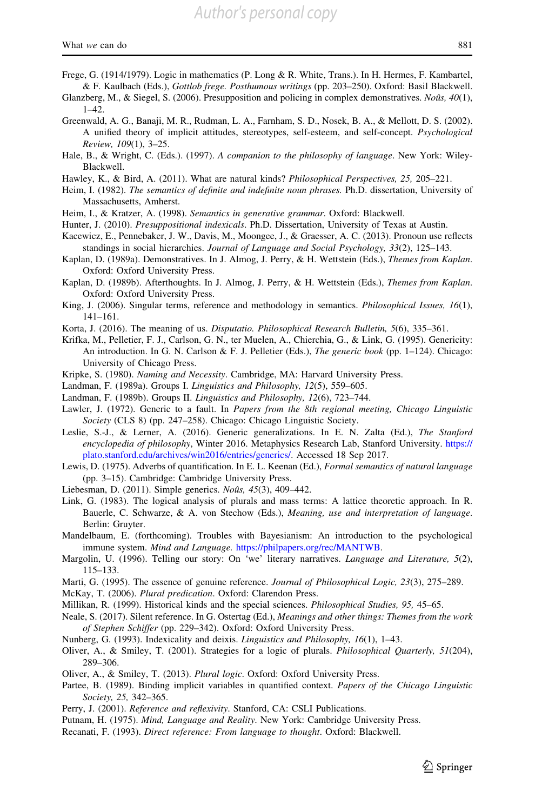- <span id="page-18-0"></span>Frege, G. (1914/1979). Logic in mathematics (P. Long & R. White, Trans.). In H. Hermes, F. Kambartel, & F. Kaulbach (Eds.), Gottlob frege. Posthumous writings (pp. 203–250). Oxford: Basil Blackwell.
- Glanzberg, M., & Siegel, S. (2006). Presupposition and policing in complex demonstratives. Noûs,  $40(1)$ ,  $1 - 42$
- Greenwald, A. G., Banaji, M. R., Rudman, L. A., Farnham, S. D., Nosek, B. A., & Mellott, D. S. (2002). A unified theory of implicit attitudes, stereotypes, self-esteem, and self-concept. Psychological Review, 109(1), 3–25.
- Hale, B., & Wright, C. (Eds.). (1997). A companion to the philosophy of language. New York: Wiley-Blackwell.
- Hawley, K., & Bird, A. (2011). What are natural kinds? Philosophical Perspectives, 25, 205–221.
- Heim, I. (1982). The semantics of definite and indefinite noun phrases. Ph.D. dissertation, University of Massachusetts, Amherst.
- Heim, I., & Kratzer, A. (1998). Semantics in generative grammar. Oxford: Blackwell.
- Hunter, J. (2010). *Presuppositional indexicals*. Ph.D. Dissertation, University of Texas at Austin.
- Kacewicz, E., Pennebaker, J. W., Davis, M., Moongee, J., & Graesser, A. C. (2013). Pronoun use reflects standings in social hierarchies. Journal of Language and Social Psychology, 33(2), 125–143.
- Kaplan, D. (1989a). Demonstratives. In J. Almog, J. Perry, & H. Wettstein (Eds.), Themes from Kaplan. Oxford: Oxford University Press.
- Kaplan, D. (1989b). Afterthoughts. In J. Almog, J. Perry, & H. Wettstein (Eds.), Themes from Kaplan. Oxford: Oxford University Press.
- King, J. (2006). Singular terms, reference and methodology in semantics. Philosophical Issues, 16(1), 141–161.
- Korta, J. (2016). The meaning of us. Disputatio. Philosophical Research Bulletin, 5(6), 335–361.
- Krifka, M., Pelletier, F. J., Carlson, G. N., ter Muelen, A., Chierchia, G., & Link, G. (1995). Genericity: An introduction. In G. N. Carlson & F. J. Pelletier (Eds.), The generic book (pp. 1–124). Chicago: University of Chicago Press.
- Kripke, S. (1980). Naming and Necessity. Cambridge, MA: Harvard University Press.
- Landman, F. (1989a). Groups I. Linguistics and Philosophy, 12(5), 559-605.
- Landman, F. (1989b). Groups II. Linguistics and Philosophy, 12(6), 723–744.
- Lawler, J. (1972). Generic to a fault. In Papers from the 8th regional meeting, Chicago Linguistic Society (CLS 8) (pp. 247–258). Chicago: Chicago Linguistic Society.
- Leslie, S.-J., & Lerner, A. (2016). Generic generalizations. In E. N. Zalta (Ed.), The Stanford encyclopedia of philosophy, Winter 2016. Metaphysics Research Lab, Stanford University. [https://](https://plato.stanford.edu/archives/win2016/entries/generics/) [plato.stanford.edu/archives/win2016/entries/generics/.](https://plato.stanford.edu/archives/win2016/entries/generics/) Accessed 18 Sep 2017.
- Lewis, D. (1975). Adverbs of quantification. In E. L. Keenan (Ed.), Formal semantics of natural language (pp. 3–15). Cambridge: Cambridge University Press.
- Liebesman, D. (2011). Simple generics. Noûs, 45(3), 409-442.
- Link, G. (1983). The logical analysis of plurals and mass terms: A lattice theoretic approach. In R. Bauerle, C. Schwarze, & A. von Stechow (Eds.), Meaning, use and interpretation of language. Berlin: Gruyter.
- Mandelbaum, E. (forthcoming). Troubles with Bayesianism: An introduction to the psychological immune system. Mind and Language. <https://philpapers.org/rec/MANTWB>.
- Margolin, U. (1996). Telling our story: On 'we' literary narratives. Language and Literature, 5(2), 115–133.
- Marti, G. (1995). The essence of genuine reference. Journal of Philosophical Logic, 23(3), 275–289.
- McKay, T. (2006). Plural predication. Oxford: Clarendon Press.
- Millikan, R. (1999). Historical kinds and the special sciences. Philosophical Studies, 95, 45–65.
- Neale, S. (2017). Silent reference. In G. Ostertag (Ed.), Meanings and other things: Themes from the work of Stephen Schiffer (pp. 229–342). Oxford: Oxford University Press.

Nunberg, G. (1993). Indexicality and deixis. Linguistics and Philosophy, 16(1), 1–43.

- Oliver, A., & Smiley, T. (2001). Strategies for a logic of plurals. Philosophical Quarterly, 51(204), 289–306.
- Oliver, A., & Smiley, T. (2013). Plural logic. Oxford: Oxford University Press.
- Partee, B. (1989). Binding implicit variables in quantified context. Papers of the Chicago Linguistic Society, 25, 342–365.
- Perry, J. (2001). Reference and reflexivity. Stanford, CA: CSLI Publications.
- Putnam, H. (1975). Mind, Language and Reality. New York: Cambridge University Press.
- Recanati, F. (1993). Direct reference: From language to thought. Oxford: Blackwell.